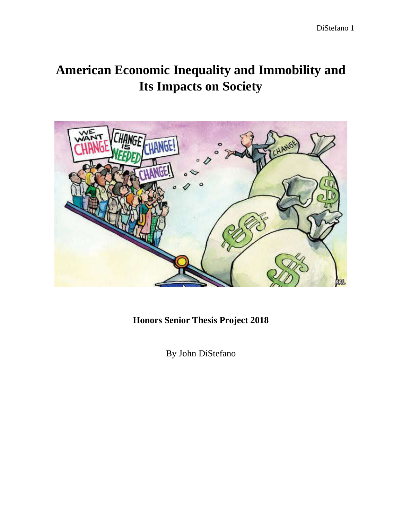# **American Economic Inequality and Immobility and Its Impacts on Society**



**Honors Senior Thesis Project 2018**

By John DiStefano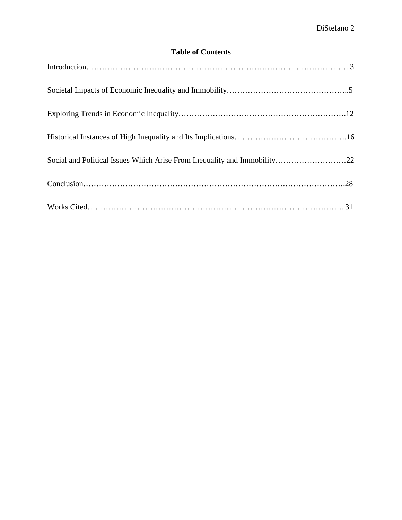# **Table of Contents**

| Social and Political Issues Which Arise From Inequality and Immobility22 |  |  |  |
|--------------------------------------------------------------------------|--|--|--|
|                                                                          |  |  |  |
|                                                                          |  |  |  |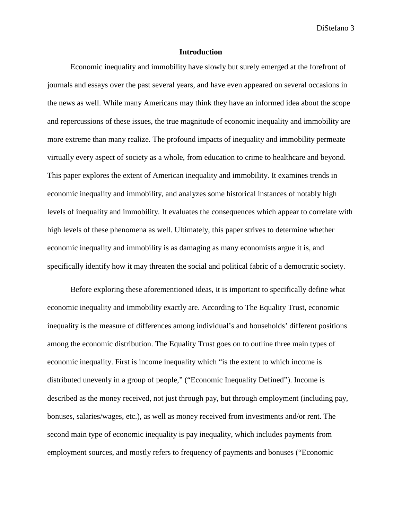#### **Introduction**

Economic inequality and immobility have slowly but surely emerged at the forefront of journals and essays over the past several years, and have even appeared on several occasions in the news as well. While many Americans may think they have an informed idea about the scope and repercussions of these issues, the true magnitude of economic inequality and immobility are more extreme than many realize. The profound impacts of inequality and immobility permeate virtually every aspect of society as a whole, from education to crime to healthcare and beyond. This paper explores the extent of American inequality and immobility. It examines trends in economic inequality and immobility, and analyzes some historical instances of notably high levels of inequality and immobility. It evaluates the consequences which appear to correlate with high levels of these phenomena as well. Ultimately, this paper strives to determine whether economic inequality and immobility is as damaging as many economists argue it is, and specifically identify how it may threaten the social and political fabric of a democratic society.

Before exploring these aforementioned ideas, it is important to specifically define what economic inequality and immobility exactly are. According to The Equality Trust, economic inequality is the measure of differences among individual's and households' different positions among the economic distribution. The Equality Trust goes on to outline three main types of economic inequality. First is income inequality which "is the extent to which income is distributed unevenly in a group of people," ("Economic Inequality Defined"). Income is described as the money received, not just through pay, but through employment (including pay, bonuses, salaries/wages, etc.), as well as money received from investments and/or rent. The second main type of economic inequality is pay inequality, which includes payments from employment sources, and mostly refers to frequency of payments and bonuses ("Economic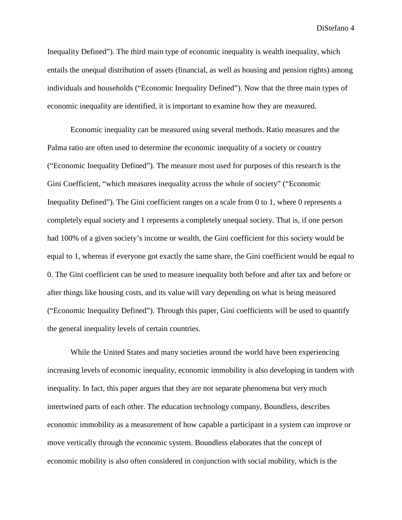Inequality Defined"). The third main type of economic inequality is wealth inequality, which entails the unequal distribution of assets (financial, as well as housing and pension rights) among individuals and households ("Economic Inequality Defined"). Now that the three main types of economic inequality are identified, it is important to examine how they are measured.

Economic inequality can be measured using several methods. Ratio measures and the Palma ratio are often used to determine the economic inequality of a society or country ("Economic Inequality Defined"). The measure most used for purposes of this research is the Gini Coefficient, "which measures inequality across the whole of society" ("Economic Inequality Defined"). The Gini coefficient ranges on a scale from 0 to 1, where 0 represents a completely equal society and 1 represents a completely unequal society. That is, if one person had 100% of a given society's income or wealth, the Gini coefficient for this society would be equal to 1, whereas if everyone got exactly the same share, the Gini coefficient would be equal to 0. The Gini coefficient can be used to measure inequality both before and after tax and before or after things like housing costs, and its value will vary depending on what is being measured ("Economic Inequality Defined"). Through this paper, Gini coefficients will be used to quantify the general inequality levels of certain countries.

While the United States and many societies around the world have been experiencing increasing levels of economic inequality, economic immobility is also developing in tandem with inequality. In fact, this paper argues that they are not separate phenomena but very much intertwined parts of each other. The education technology company, Boundless, describes economic immobility as a measurement of how capable a participant in a system can improve or move vertically through the economic system. Boundless elaborates that the concept of economic mobility is also often considered in conjunction with social mobility, which is the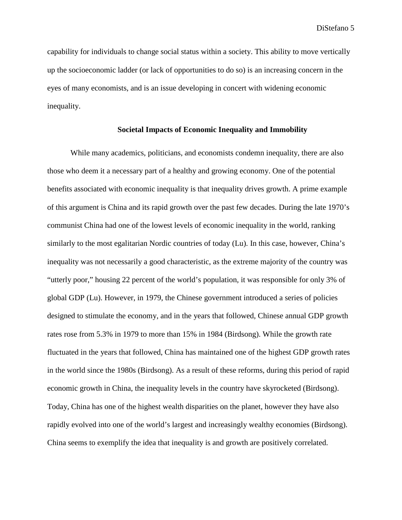capability for individuals to change social status within a society. This ability to move vertically up the socioeconomic ladder (or lack of opportunities to do so) is an increasing concern in the eyes of many economists, and is an issue developing in concert with widening economic inequality.

# **Societal Impacts of Economic Inequality and Immobility**

While many academics, politicians, and economists condemn inequality, there are also those who deem it a necessary part of a healthy and growing economy. One of the potential benefits associated with economic inequality is that inequality drives growth. A prime example of this argument is China and its rapid growth over the past few decades. During the late 1970's communist China had one of the lowest levels of economic inequality in the world, ranking similarly to the most egalitarian Nordic countries of today (Lu). In this case, however, China's inequality was not necessarily a good characteristic, as the extreme majority of the country was "utterly poor," housing 22 percent of the world's population, it was responsible for only 3% of global GDP (Lu). However, in 1979, the Chinese government introduced a series of policies designed to stimulate the economy, and in the years that followed, Chinese annual GDP growth rates rose from 5.3% in 1979 to more than 15% in 1984 (Birdsong). While the growth rate fluctuated in the years that followed, China has maintained one of the highest GDP growth rates in the world since the 1980s (Birdsong). As a result of these reforms, during this period of rapid economic growth in China, the inequality levels in the country have skyrocketed (Birdsong). Today, China has one of the highest wealth disparities on the planet, however they have also rapidly evolved into one of the world's largest and increasingly wealthy economies (Birdsong). China seems to exemplify the idea that inequality is and growth are positively correlated.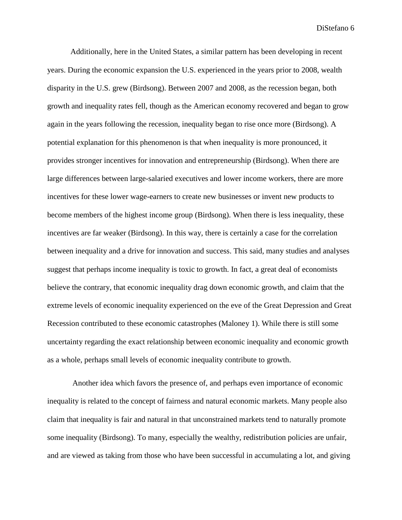Additionally, here in the United States, a similar pattern has been developing in recent years. During the economic expansion the U.S. experienced in the years prior to 2008, wealth disparity in the U.S. grew (Birdsong). Between 2007 and 2008, as the recession began, both growth and inequality rates fell, though as the American economy recovered and began to grow again in the years following the recession, inequality began to rise once more (Birdsong). A potential explanation for this phenomenon is that when inequality is more pronounced, it provides stronger incentives for innovation and entrepreneurship (Birdsong). When there are large differences between large-salaried executives and lower income workers, there are more incentives for these lower wage-earners to create new businesses or invent new products to become members of the highest income group (Birdsong). When there is less inequality, these incentives are far weaker (Birdsong). In this way, there is certainly a case for the correlation between inequality and a drive for innovation and success. This said, many studies and analyses suggest that perhaps income inequality is toxic to growth. In fact, a great deal of economists believe the contrary, that economic inequality drag down economic growth, and claim that the extreme levels of economic inequality experienced on the eve of the Great Depression and Great Recession contributed to these economic catastrophes (Maloney 1). While there is still some uncertainty regarding the exact relationship between economic inequality and economic growth as a whole, perhaps small levels of economic inequality contribute to growth.

Another idea which favors the presence of, and perhaps even importance of economic inequality is related to the concept of fairness and natural economic markets. Many people also claim that inequality is fair and natural in that unconstrained markets tend to naturally promote some inequality (Birdsong). To many, especially the wealthy, redistribution policies are unfair, and are viewed as taking from those who have been successful in accumulating a lot, and giving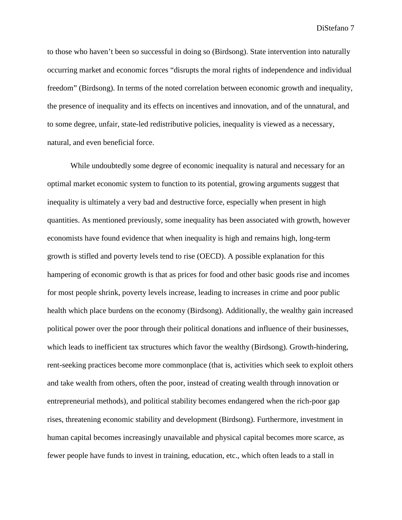to those who haven't been so successful in doing so (Birdsong). State intervention into naturally occurring market and economic forces "disrupts the moral rights of independence and individual freedom" (Birdsong). In terms of the noted correlation between economic growth and inequality, the presence of inequality and its effects on incentives and innovation, and of the unnatural, and to some degree, unfair, state-led redistributive policies, inequality is viewed as a necessary, natural, and even beneficial force.

While undoubtedly some degree of economic inequality is natural and necessary for an optimal market economic system to function to its potential, growing arguments suggest that inequality is ultimately a very bad and destructive force, especially when present in high quantities. As mentioned previously, some inequality has been associated with growth, however economists have found evidence that when inequality is high and remains high, long-term growth is stifled and poverty levels tend to rise (OECD). A possible explanation for this hampering of economic growth is that as prices for food and other basic goods rise and incomes for most people shrink, poverty levels increase, leading to increases in crime and poor public health which place burdens on the economy (Birdsong). Additionally, the wealthy gain increased political power over the poor through their political donations and influence of their businesses, which leads to inefficient tax structures which favor the wealthy (Birdsong). Growth-hindering, rent-seeking practices become more commonplace (that is, activities which seek to exploit others and take wealth from others, often the poor, instead of creating wealth through innovation or entrepreneurial methods), and political stability becomes endangered when the rich-poor gap rises, threatening economic stability and development (Birdsong). Furthermore, investment in human capital becomes increasingly unavailable and physical capital becomes more scarce, as fewer people have funds to invest in training, education, etc., which often leads to a stall in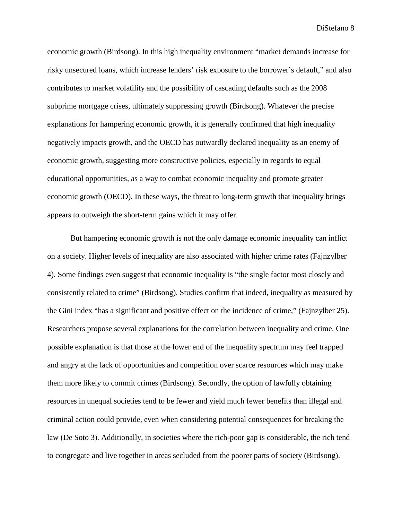economic growth (Birdsong). In this high inequality environment "market demands increase for risky unsecured loans, which increase lenders' risk exposure to the borrower's default," and also contributes to market volatility and the possibility of cascading defaults such as the 2008 subprime mortgage crises, ultimately suppressing growth (Birdsong). Whatever the precise explanations for hampering economic growth, it is generally confirmed that high inequality negatively impacts growth, and the OECD has outwardly declared inequality as an enemy of economic growth, suggesting more constructive policies, especially in regards to equal educational opportunities, as a way to combat economic inequality and promote greater economic growth (OECD). In these ways, the threat to long-term growth that inequality brings appears to outweigh the short-term gains which it may offer.

But hampering economic growth is not the only damage economic inequality can inflict on a society. Higher levels of inequality are also associated with higher crime rates (Fajnzylber 4). Some findings even suggest that economic inequality is "the single factor most closely and consistently related to crime" (Birdsong). Studies confirm that indeed, inequality as measured by the Gini index "has a significant and positive effect on the incidence of crime," (Fajnzylber 25). Researchers propose several explanations for the correlation between inequality and crime. One possible explanation is that those at the lower end of the inequality spectrum may feel trapped and angry at the lack of opportunities and competition over scarce resources which may make them more likely to commit crimes (Birdsong). Secondly, the option of lawfully obtaining resources in unequal societies tend to be fewer and yield much fewer benefits than illegal and criminal action could provide, even when considering potential consequences for breaking the law (De Soto 3). Additionally, in societies where the rich-poor gap is considerable, the rich tend to congregate and live together in areas secluded from the poorer parts of society (Birdsong).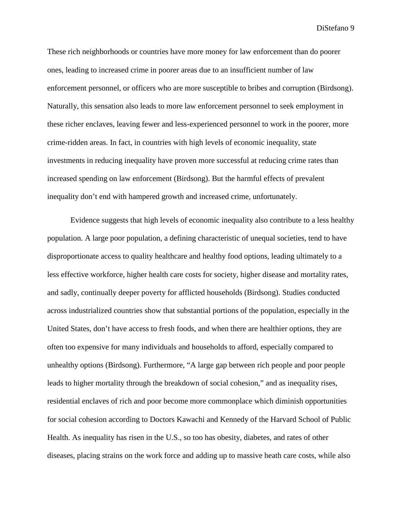These rich neighborhoods or countries have more money for law enforcement than do poorer ones, leading to increased crime in poorer areas due to an insufficient number of law enforcement personnel, or officers who are more susceptible to bribes and corruption (Birdsong). Naturally, this sensation also leads to more law enforcement personnel to seek employment in these richer enclaves, leaving fewer and less-experienced personnel to work in the poorer, more crime-ridden areas. In fact, in countries with high levels of economic inequality, state investments in reducing inequality have proven more successful at reducing crime rates than increased spending on law enforcement (Birdsong). But the harmful effects of prevalent inequality don't end with hampered growth and increased crime, unfortunately.

Evidence suggests that high levels of economic inequality also contribute to a less healthy population. A large poor population, a defining characteristic of unequal societies, tend to have disproportionate access to quality healthcare and healthy food options, leading ultimately to a less effective workforce, higher health care costs for society, higher disease and mortality rates, and sadly, continually deeper poverty for afflicted households (Birdsong). Studies conducted across industrialized countries show that substantial portions of the population, especially in the United States, don't have access to fresh foods, and when there are healthier options, they are often too expensive for many individuals and households to afford, especially compared to unhealthy options (Birdsong). Furthermore, "A large gap between rich people and poor people leads to higher mortality through the breakdown of social cohesion," and as inequality rises, residential enclaves of rich and poor become more commonplace which diminish opportunities for social cohesion according to Doctors Kawachi and Kennedy of the Harvard School of Public Health. As inequality has risen in the U.S., so too has obesity, diabetes, and rates of other diseases, placing strains on the work force and adding up to massive heath care costs, while also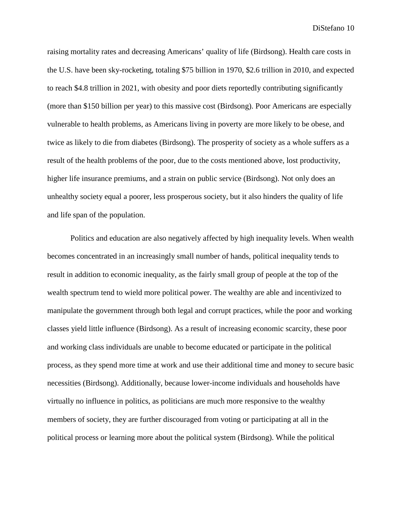raising mortality rates and decreasing Americans' quality of life (Birdsong). Health care costs in the U.S. have been sky-rocketing, totaling \$75 billion in 1970, \$2.6 trillion in 2010, and expected to reach \$4.8 trillion in 2021, with obesity and poor diets reportedly contributing significantly (more than \$150 billion per year) to this massive cost (Birdsong). Poor Americans are especially vulnerable to health problems, as Americans living in poverty are more likely to be obese, and twice as likely to die from diabetes (Birdsong). The prosperity of society as a whole suffers as a result of the health problems of the poor, due to the costs mentioned above, lost productivity, higher life insurance premiums, and a strain on public service (Birdsong). Not only does an unhealthy society equal a poorer, less prosperous society, but it also hinders the quality of life and life span of the population.

Politics and education are also negatively affected by high inequality levels. When wealth becomes concentrated in an increasingly small number of hands, political inequality tends to result in addition to economic inequality, as the fairly small group of people at the top of the wealth spectrum tend to wield more political power. The wealthy are able and incentivized to manipulate the government through both legal and corrupt practices, while the poor and working classes yield little influence (Birdsong). As a result of increasing economic scarcity, these poor and working class individuals are unable to become educated or participate in the political process, as they spend more time at work and use their additional time and money to secure basic necessities (Birdsong). Additionally, because lower-income individuals and households have virtually no influence in politics, as politicians are much more responsive to the wealthy members of society, they are further discouraged from voting or participating at all in the political process or learning more about the political system (Birdsong). While the political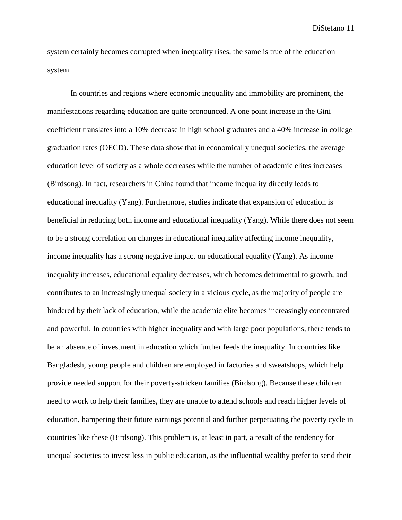system certainly becomes corrupted when inequality rises, the same is true of the education system.

In countries and regions where economic inequality and immobility are prominent, the manifestations regarding education are quite pronounced. A one point increase in the Gini coefficient translates into a 10% decrease in high school graduates and a 40% increase in college graduation rates (OECD). These data show that in economically unequal societies, the average education level of society as a whole decreases while the number of academic elites increases (Birdsong). In fact, researchers in China found that income inequality directly leads to educational inequality (Yang). Furthermore, studies indicate that expansion of education is beneficial in reducing both income and educational inequality (Yang). While there does not seem to be a strong correlation on changes in educational inequality affecting income inequality, income inequality has a strong negative impact on educational equality (Yang). As income inequality increases, educational equality decreases, which becomes detrimental to growth, and contributes to an increasingly unequal society in a vicious cycle, as the majority of people are hindered by their lack of education, while the academic elite becomes increasingly concentrated and powerful. In countries with higher inequality and with large poor populations, there tends to be an absence of investment in education which further feeds the inequality. In countries like Bangladesh, young people and children are employed in factories and sweatshops, which help provide needed support for their poverty-stricken families (Birdsong). Because these children need to work to help their families, they are unable to attend schools and reach higher levels of education, hampering their future earnings potential and further perpetuating the poverty cycle in countries like these (Birdsong). This problem is, at least in part, a result of the tendency for unequal societies to invest less in public education, as the influential wealthy prefer to send their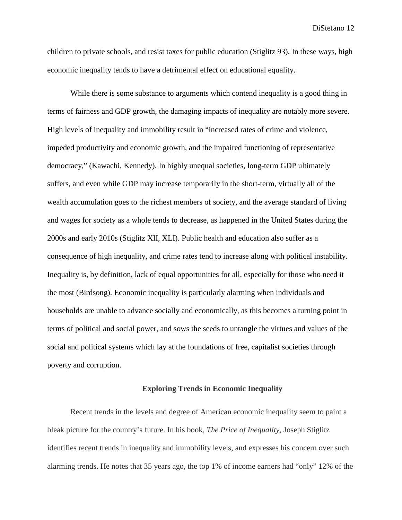children to private schools, and resist taxes for public education (Stiglitz 93). In these ways, high economic inequality tends to have a detrimental effect on educational equality.

While there is some substance to arguments which contend inequality is a good thing in terms of fairness and GDP growth, the damaging impacts of inequality are notably more severe. High levels of inequality and immobility result in "increased rates of crime and violence, impeded productivity and economic growth, and the impaired functioning of representative democracy," (Kawachi, Kennedy). In highly unequal societies, long-term GDP ultimately suffers, and even while GDP may increase temporarily in the short-term, virtually all of the wealth accumulation goes to the richest members of society, and the average standard of living and wages for society as a whole tends to decrease, as happened in the United States during the 2000s and early 2010s (Stiglitz XII, XLI). Public health and education also suffer as a consequence of high inequality, and crime rates tend to increase along with political instability. Inequality is, by definition, lack of equal opportunities for all, especially for those who need it the most (Birdsong). Economic inequality is particularly alarming when individuals and households are unable to advance socially and economically, as this becomes a turning point in terms of political and social power, and sows the seeds to untangle the virtues and values of the social and political systems which lay at the foundations of free, capitalist societies through poverty and corruption.

#### **Exploring Trends in Economic Inequality**

Recent trends in the levels and degree of American economic inequality seem to paint a bleak picture for the country's future. In his book, *The Price of Inequality*, Joseph Stiglitz identifies recent trends in inequality and immobility levels, and expresses his concern over such alarming trends. He notes that 35 years ago, the top 1% of income earners had "only" 12% of the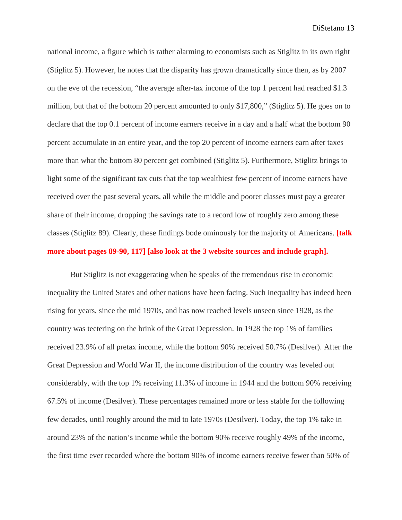national income, a figure which is rather alarming to economists such as Stiglitz in its own right (Stiglitz 5). However, he notes that the disparity has grown dramatically since then, as by 2007 on the eve of the recession, "the average after-tax income of the top 1 percent had reached \$1.3 million, but that of the bottom 20 percent amounted to only \$17,800," (Stiglitz 5). He goes on to declare that the top 0.1 percent of income earners receive in a day and a half what the bottom 90 percent accumulate in an entire year, and the top 20 percent of income earners earn after taxes more than what the bottom 80 percent get combined (Stiglitz 5). Furthermore, Stiglitz brings to light some of the significant tax cuts that the top wealthiest few percent of income earners have received over the past several years, all while the middle and poorer classes must pay a greater share of their income, dropping the savings rate to a record low of roughly zero among these classes (Stiglitz 89). Clearly, these findings bode ominously for the majority of Americans. **[talk more about pages 89-90, 117] [also look at the 3 website sources and include graph].**

But Stiglitz is not exaggerating when he speaks of the tremendous rise in economic inequality the United States and other nations have been facing. Such inequality has indeed been rising for years, since the mid 1970s, and has now reached levels unseen since 1928, as the country was teetering on the brink of the Great Depression. In 1928 the top 1% of families received 23.9% of all pretax income, while the bottom 90% received 50.7% (Desilver). After the Great Depression and World War II, the income distribution of the country was leveled out considerably, with the top 1% receiving 11.3% of income in 1944 and the bottom 90% receiving 67.5% of income (Desilver). These percentages remained more or less stable for the following few decades, until roughly around the mid to late 1970s (Desilver). Today, the top 1% take in around 23% of the nation's income while the bottom 90% receive roughly 49% of the income, the first time ever recorded where the bottom 90% of income earners receive fewer than 50% of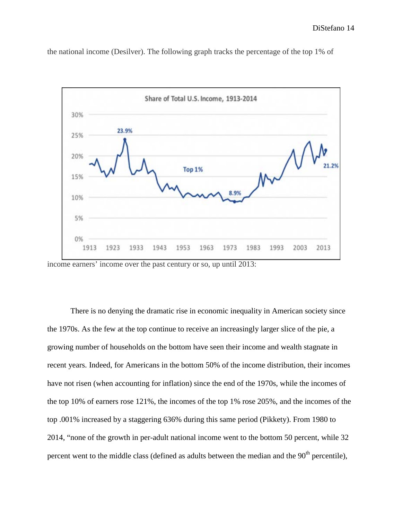

the national income (Desilver). The following graph tracks the percentage of the top 1% of

There is no denying the dramatic rise in economic inequality in American society since the 1970s. As the few at the top continue to receive an increasingly larger slice of the pie, a growing number of households on the bottom have seen their income and wealth stagnate in recent years. Indeed, for Americans in the bottom 50% of the income distribution, their incomes have not risen (when accounting for inflation) since the end of the 1970s, while the incomes of the top 10% of earners rose 121%, the incomes of the top 1% rose 205%, and the incomes of the top .001% increased by a staggering 636% during this same period (Pikkety). From 1980 to 2014, "none of the growth in per-adult national income went to the bottom 50 percent, while 32 percent went to the middle class (defined as adults between the median and the  $90<sup>th</sup>$  percentile),

income earners' income over the past century or so, up until 2013: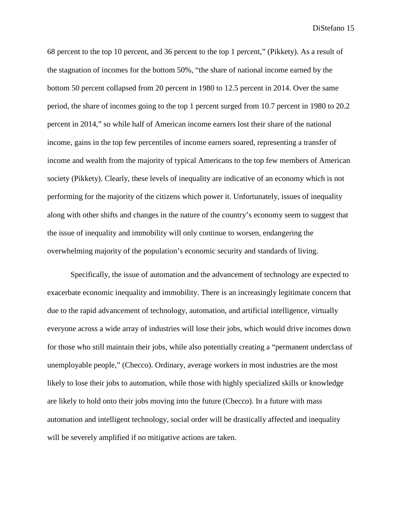68 percent to the top 10 percent, and 36 percent to the top 1 percent," (Pikkety). As a result of the stagnation of incomes for the bottom 50%, "the share of national income earned by the bottom 50 percent collapsed from 20 percent in 1980 to 12.5 percent in 2014. Over the same period, the share of incomes going to the top 1 percent surged from 10.7 percent in 1980 to 20.2 percent in 2014," so while half of American income earners lost their share of the national income, gains in the top few percentiles of income earners soared, representing a transfer of income and wealth from the majority of typical Americans to the top few members of American society (Pikkety). Clearly, these levels of inequality are indicative of an economy which is not performing for the majority of the citizens which power it. Unfortunately, issues of inequality along with other shifts and changes in the nature of the country's economy seem to suggest that the issue of inequality and immobility will only continue to worsen, endangering the overwhelming majority of the population's economic security and standards of living.

Specifically, the issue of automation and the advancement of technology are expected to exacerbate economic inequality and immobility. There is an increasingly legitimate concern that due to the rapid advancement of technology, automation, and artificial intelligence, virtually everyone across a wide array of industries will lose their jobs, which would drive incomes down for those who still maintain their jobs, while also potentially creating a "permanent underclass of unemployable people," (Checco). Ordinary, average workers in most industries are the most likely to lose their jobs to automation, while those with highly specialized skills or knowledge are likely to hold onto their jobs moving into the future (Checco). In a future with mass automation and intelligent technology, social order will be drastically affected and inequality will be severely amplified if no mitigative actions are taken.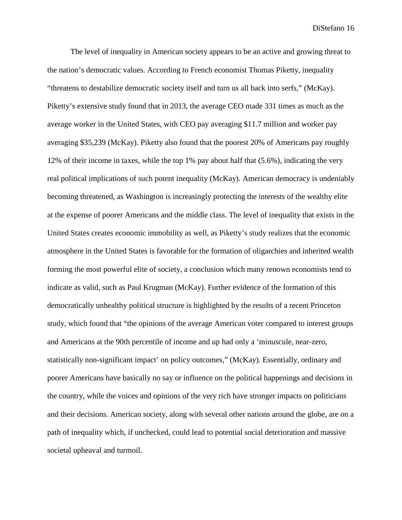The level of inequality in American society appears to be an active and growing threat to the nation's democratic values. According to French economist Thomas Piketty, inequality "threatens to destabilize democratic society itself and turn us all back into serfs," (McKay). Piketty's extensive study found that in 2013, the average CEO made 331 times as much as the average worker in the United States, with CEO pay averaging \$11.7 million and worker pay averaging \$35,239 (McKay). Piketty also found that the poorest 20% of Americans pay roughly 12% of their income in taxes, while the top 1% pay about half that (5.6%), indicating the very real political implications of such potent inequality (McKay). American democracy is undeniably becoming threatened, as Washington is increasingly protecting the interests of the wealthy elite at the expense of poorer Americans and the middle class. The level of inequality that exists in the United States creates economic immobility as well, as Piketty's study realizes that the economic atmosphere in the United States is favorable for the formation of oligarchies and inherited wealth forming the most powerful elite of society, a conclusion which many renown economists tend to indicate as valid, such as Paul Krugman (McKay). Further evidence of the formation of this democratically unhealthy political structure is highlighted by the results of a recent Princeton study, which found that "the opinions of the average American voter compared to interest groups and Americans at the 90th percentile of income and up had only a 'minuscule, near-zero, statistically non-significant impact' on policy outcomes," (McKay). Essentially, ordinary and poorer Americans have basically no say or influence on the political happenings and decisions in the country, while the voices and opinions of the very rich have stronger impacts on politicians and their decisions. American society, along with several other nations around the globe, are on a path of inequality which, if unchecked, could lead to potential social deterioration and massive societal upheaval and turmoil.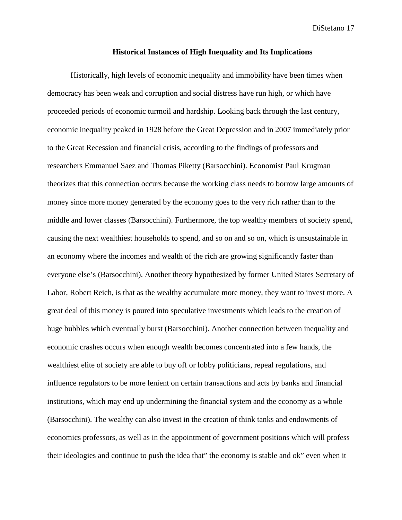#### **Historical Instances of High Inequality and Its Implications**

Historically, high levels of economic inequality and immobility have been times when democracy has been weak and corruption and social distress have run high, or which have proceeded periods of economic turmoil and hardship. Looking back through the last century, economic inequality peaked in 1928 before the Great Depression and in 2007 immediately prior to the Great Recession and financial crisis, according to the findings of professors and researchers Emmanuel Saez and Thomas Piketty (Barsocchini). Economist Paul Krugman theorizes that this connection occurs because the working class needs to borrow large amounts of money since more money generated by the economy goes to the very rich rather than to the middle and lower classes (Barsocchini). Furthermore, the top wealthy members of society spend, causing the next wealthiest households to spend, and so on and so on, which is unsustainable in an economy where the incomes and wealth of the rich are growing significantly faster than everyone else's (Barsocchini). Another theory hypothesized by former United States Secretary of Labor, Robert Reich, is that as the wealthy accumulate more money, they want to invest more. A great deal of this money is poured into speculative investments which leads to the creation of huge bubbles which eventually burst (Barsocchini). Another connection between inequality and economic crashes occurs when enough wealth becomes concentrated into a few hands, the wealthiest elite of society are able to buy off or lobby politicians, repeal regulations, and influence regulators to be more lenient on certain transactions and acts by banks and financial institutions, which may end up undermining the financial system and the economy as a whole (Barsocchini). The wealthy can also invest in the creation of think tanks and endowments of economics professors, as well as in the appointment of government positions which will profess their ideologies and continue to push the idea that" the economy is stable and ok" even when it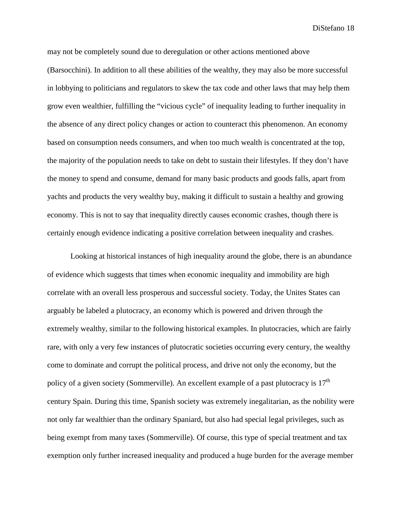may not be completely sound due to deregulation or other actions mentioned above (Barsocchini). In addition to all these abilities of the wealthy, they may also be more successful in lobbying to politicians and regulators to skew the tax code and other laws that may help them grow even wealthier, fulfilling the "vicious cycle" of inequality leading to further inequality in the absence of any direct policy changes or action to counteract this phenomenon. An economy based on consumption needs consumers, and when too much wealth is concentrated at the top, the majority of the population needs to take on debt to sustain their lifestyles. If they don't have the money to spend and consume, demand for many basic products and goods falls, apart from yachts and products the very wealthy buy, making it difficult to sustain a healthy and growing economy. This is not to say that inequality directly causes economic crashes, though there is certainly enough evidence indicating a positive correlation between inequality and crashes.

Looking at historical instances of high inequality around the globe, there is an abundance of evidence which suggests that times when economic inequality and immobility are high correlate with an overall less prosperous and successful society. Today, the Unites States can arguably be labeled a plutocracy, an economy which is powered and driven through the extremely wealthy, similar to the following historical examples. In plutocracies, which are fairly rare, with only a very few instances of plutocratic societies occurring every century, the wealthy come to dominate and corrupt the political process, and drive not only the economy, but the policy of a given society (Sommerville). An excellent example of a past plutocracy is  $17<sup>th</sup>$ century Spain. During this time, Spanish society was extremely inegalitarian, as the nobility were not only far wealthier than the ordinary Spaniard, but also had special legal privileges, such as being exempt from many taxes (Sommerville). Of course, this type of special treatment and tax exemption only further increased inequality and produced a huge burden for the average member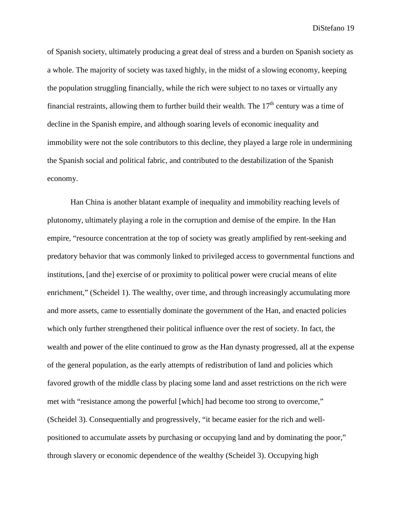of Spanish society, ultimately producing a great deal of stress and a burden on Spanish society as a whole. The majority of society was taxed highly, in the midst of a slowing economy, keeping the population struggling financially, while the rich were subject to no taxes or virtually any financial restraints, allowing them to further build their wealth. The  $17<sup>th</sup>$  century was a time of decline in the Spanish empire, and although soaring levels of economic inequality and immobility were not the sole contributors to this decline, they played a large role in undermining the Spanish social and political fabric, and contributed to the destabilization of the Spanish economy.

Han China is another blatant example of inequality and immobility reaching levels of plutonomy, ultimately playing a role in the corruption and demise of the empire. In the Han empire, "resource concentration at the top of society was greatly amplified by rent-seeking and predatory behavior that was commonly linked to privileged access to governmental functions and institutions, [and the] exercise of or proximity to political power were crucial means of elite enrichment," (Scheidel 1). The wealthy, over time, and through increasingly accumulating more and more assets, came to essentially dominate the government of the Han, and enacted policies which only further strengthened their political influence over the rest of society. In fact, the wealth and power of the elite continued to grow as the Han dynasty progressed, all at the expense of the general population, as the early attempts of redistribution of land and policies which favored growth of the middle class by placing some land and asset restrictions on the rich were met with "resistance among the powerful [which] had become too strong to overcome," (Scheidel 3). Consequentially and progressively, "it became easier for the rich and wellpositioned to accumulate assets by purchasing or occupying land and by dominating the poor," through slavery or economic dependence of the wealthy (Scheidel 3). Occupying high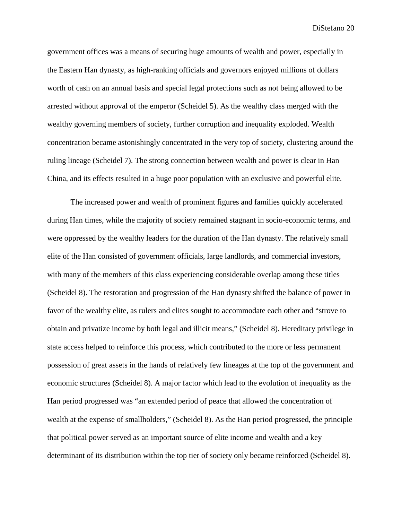government offices was a means of securing huge amounts of wealth and power, especially in the Eastern Han dynasty, as high-ranking officials and governors enjoyed millions of dollars worth of cash on an annual basis and special legal protections such as not being allowed to be arrested without approval of the emperor (Scheidel 5). As the wealthy class merged with the wealthy governing members of society, further corruption and inequality exploded. Wealth concentration became astonishingly concentrated in the very top of society, clustering around the ruling lineage (Scheidel 7). The strong connection between wealth and power is clear in Han China, and its effects resulted in a huge poor population with an exclusive and powerful elite.

The increased power and wealth of prominent figures and families quickly accelerated during Han times, while the majority of society remained stagnant in socio-economic terms, and were oppressed by the wealthy leaders for the duration of the Han dynasty. The relatively small elite of the Han consisted of government officials, large landlords, and commercial investors, with many of the members of this class experiencing considerable overlap among these titles (Scheidel 8). The restoration and progression of the Han dynasty shifted the balance of power in favor of the wealthy elite, as rulers and elites sought to accommodate each other and "strove to obtain and privatize income by both legal and illicit means," (Scheidel 8). Hereditary privilege in state access helped to reinforce this process, which contributed to the more or less permanent possession of great assets in the hands of relatively few lineages at the top of the government and economic structures (Scheidel 8). A major factor which lead to the evolution of inequality as the Han period progressed was "an extended period of peace that allowed the concentration of wealth at the expense of smallholders," (Scheidel 8). As the Han period progressed, the principle that political power served as an important source of elite income and wealth and a key determinant of its distribution within the top tier of society only became reinforced (Scheidel 8).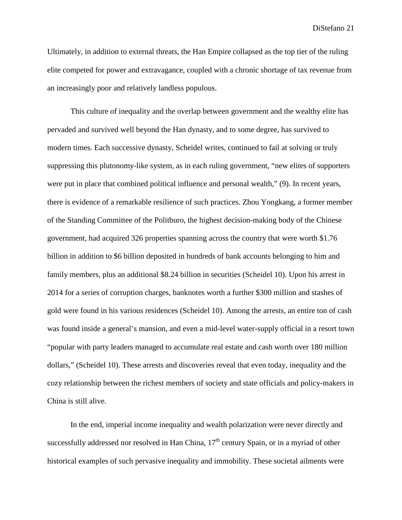Ultimately, in addition to external threats, the Han Empire collapsed as the top tier of the ruling elite competed for power and extravagance, coupled with a chronic shortage of tax revenue from an increasingly poor and relatively landless populous.

This culture of inequality and the overlap between government and the wealthy elite has pervaded and survived well beyond the Han dynasty, and to some degree, has survived to modern times. Each successive dynasty, Scheidel writes, continued to fail at solving or truly suppressing this plutonomy-like system, as in each ruling government, "new elites of supporters were put in place that combined political influence and personal wealth," (9). In recent years, there is evidence of a remarkable resilience of such practices. Zhou Yongkang, a former member of the Standing Committee of the Politburo, the highest decision-making body of the Chinese government, had acquired 326 properties spanning across the country that were worth \$1.76 billion in addition to \$6 billion deposited in hundreds of bank accounts belonging to him and family members, plus an additional \$8.24 billion in securities (Scheidel 10). Upon his arrest in 2014 for a series of corruption charges, banknotes worth a further \$300 million and stashes of gold were found in his various residences (Scheidel 10). Among the arrests, an entire ton of cash was found inside a general's mansion, and even a mid-level water-supply official in a resort town "popular with party leaders managed to accumulate real estate and cash worth over 180 million dollars," (Scheidel 10). These arrests and discoveries reveal that even today, inequality and the cozy relationship between the richest members of society and state officials and policy-makers in China is still alive.

In the end, imperial income inequality and wealth polarization were never directly and successfully addressed nor resolved in Han China,  $17<sup>th</sup>$  century Spain, or in a myriad of other historical examples of such pervasive inequality and immobility. These societal ailments were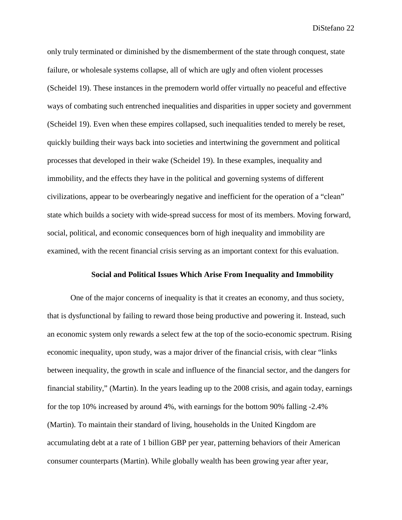only truly terminated or diminished by the dismemberment of the state through conquest, state failure, or wholesale systems collapse, all of which are ugly and often violent processes (Scheidel 19). These instances in the premodern world offer virtually no peaceful and effective ways of combating such entrenched inequalities and disparities in upper society and government (Scheidel 19). Even when these empires collapsed, such inequalities tended to merely be reset, quickly building their ways back into societies and intertwining the government and political processes that developed in their wake (Scheidel 19). In these examples, inequality and immobility, and the effects they have in the political and governing systems of different civilizations, appear to be overbearingly negative and inefficient for the operation of a "clean" state which builds a society with wide-spread success for most of its members. Moving forward, social, political, and economic consequences born of high inequality and immobility are examined, with the recent financial crisis serving as an important context for this evaluation.

### **Social and Political Issues Which Arise From Inequality and Immobility**

One of the major concerns of inequality is that it creates an economy, and thus society, that is dysfunctional by failing to reward those being productive and powering it. Instead, such an economic system only rewards a select few at the top of the socio-economic spectrum. Rising economic inequality, upon study, was a major driver of the financial crisis, with clear "links between inequality, the growth in scale and influence of the financial sector, and the dangers for financial stability," (Martin). In the years leading up to the 2008 crisis, and again today, earnings for the top 10% increased by around 4%, with earnings for the bottom 90% falling -2.4% (Martin). To maintain their standard of living, households in the United Kingdom are accumulating debt at a rate of 1 billion GBP per year, patterning behaviors of their American consumer counterparts (Martin). While globally wealth has been growing year after year,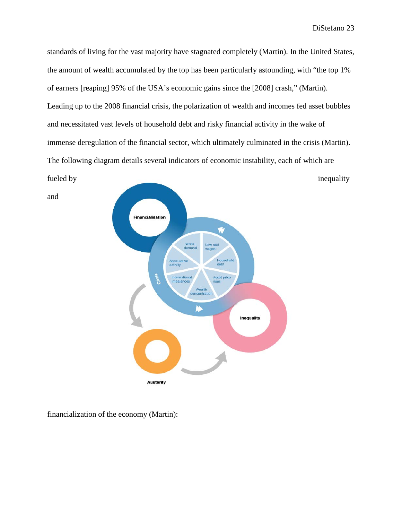standards of living for the vast majority have stagnated completely (Martin). In the United States, the amount of wealth accumulated by the top has been particularly astounding, with "the top 1% of earners [reaping] 95% of the USA's economic gains since the [2008] crash," (Martin). Leading up to the 2008 financial crisis, the polarization of wealth and incomes fed asset bubbles and necessitated vast levels of household debt and risky financial activity in the wake of immense deregulation of the financial sector, which ultimately culminated in the crisis (Martin). The following diagram details several indicators of economic instability, each of which are



**Austerity** 

financialization of the economy (Martin):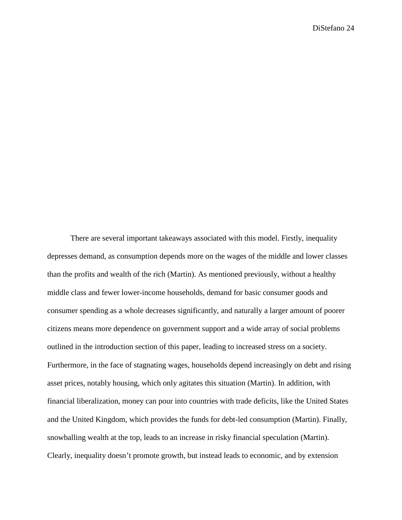There are several important takeaways associated with this model. Firstly, inequality depresses demand, as consumption depends more on the wages of the middle and lower classes than the profits and wealth of the rich (Martin). As mentioned previously, without a healthy middle class and fewer lower-income households, demand for basic consumer goods and consumer spending as a whole decreases significantly, and naturally a larger amount of poorer citizens means more dependence on government support and a wide array of social problems outlined in the introduction section of this paper, leading to increased stress on a society. Furthermore, in the face of stagnating wages, households depend increasingly on debt and rising asset prices, notably housing, which only agitates this situation (Martin). In addition, with financial liberalization, money can pour into countries with trade deficits, like the United States and the United Kingdom, which provides the funds for debt-led consumption (Martin). Finally, snowballing wealth at the top, leads to an increase in risky financial speculation (Martin). Clearly, inequality doesn't promote growth, but instead leads to economic, and by extension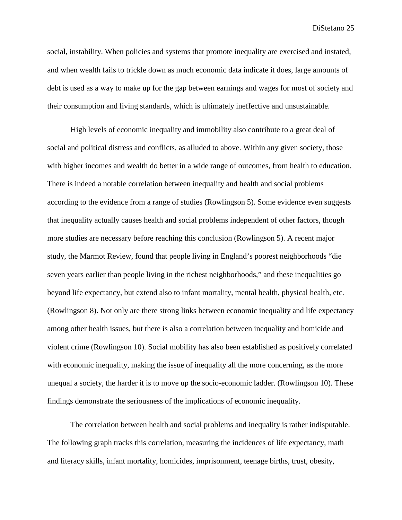social, instability. When policies and systems that promote inequality are exercised and instated, and when wealth fails to trickle down as much economic data indicate it does, large amounts of debt is used as a way to make up for the gap between earnings and wages for most of society and their consumption and living standards, which is ultimately ineffective and unsustainable.

High levels of economic inequality and immobility also contribute to a great deal of social and political distress and conflicts, as alluded to above. Within any given society, those with higher incomes and wealth do better in a wide range of outcomes, from health to education. There is indeed a notable correlation between inequality and health and social problems according to the evidence from a range of studies (Rowlingson 5). Some evidence even suggests that inequality actually causes health and social problems independent of other factors, though more studies are necessary before reaching this conclusion (Rowlingson 5). A recent major study, the Marmot Review, found that people living in England's poorest neighborhoods "die seven years earlier than people living in the richest neighborhoods," and these inequalities go beyond life expectancy, but extend also to infant mortality, mental health, physical health, etc. (Rowlingson 8). Not only are there strong links between economic inequality and life expectancy among other health issues, but there is also a correlation between inequality and homicide and violent crime (Rowlingson 10). Social mobility has also been established as positively correlated with economic inequality, making the issue of inequality all the more concerning, as the more unequal a society, the harder it is to move up the socio-economic ladder. (Rowlingson 10). These findings demonstrate the seriousness of the implications of economic inequality.

The correlation between health and social problems and inequality is rather indisputable. The following graph tracks this correlation, measuring the incidences of life expectancy, math and literacy skills, infant mortality, homicides, imprisonment, teenage births, trust, obesity,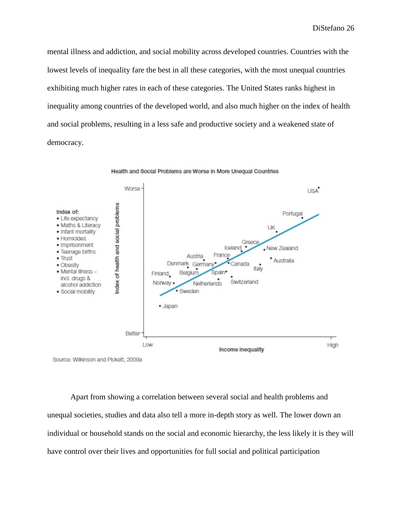mental illness and addiction, and social mobility across developed countries. Countries with the lowest levels of inequality fare the best in all these categories, with the most unequal countries exhibiting much higher rates in each of these categories. The United States ranks highest in inequality among countries of the developed world, and also much higher on the index of health and social problems, resulting in a less safe and productive society and a weakened state of democracy.



Source: Wilkinson and Pickett, 2009a

Apart from showing a correlation between several social and health problems and unequal societies, studies and data also tell a more in-depth story as well. The lower down an individual or household stands on the social and economic hierarchy, the less likely it is they will have control over their lives and opportunities for full social and political participation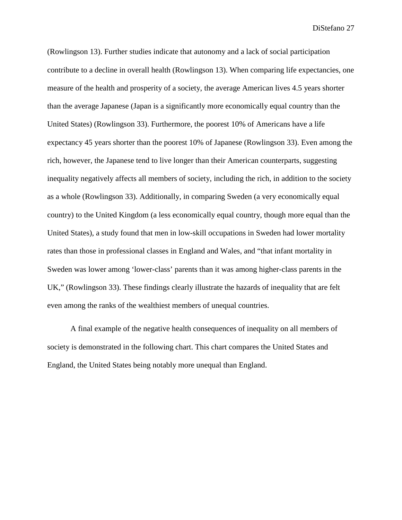(Rowlingson 13). Further studies indicate that autonomy and a lack of social participation contribute to a decline in overall health (Rowlingson 13). When comparing life expectancies, one measure of the health and prosperity of a society, the average American lives 4.5 years shorter than the average Japanese (Japan is a significantly more economically equal country than the United States) (Rowlingson 33). Furthermore, the poorest 10% of Americans have a life expectancy 45 years shorter than the poorest 10% of Japanese (Rowlingson 33). Even among the rich, however, the Japanese tend to live longer than their American counterparts, suggesting inequality negatively affects all members of society, including the rich, in addition to the society as a whole (Rowlingson 33). Additionally, in comparing Sweden (a very economically equal country) to the United Kingdom (a less economically equal country, though more equal than the United States), a study found that men in low-skill occupations in Sweden had lower mortality rates than those in professional classes in England and Wales, and "that infant mortality in Sweden was lower among 'lower-class' parents than it was among higher-class parents in the UK," (Rowlingson 33). These findings clearly illustrate the hazards of inequality that are felt even among the ranks of the wealthiest members of unequal countries.

A final example of the negative health consequences of inequality on all members of society is demonstrated in the following chart. This chart compares the United States and England, the United States being notably more unequal than England.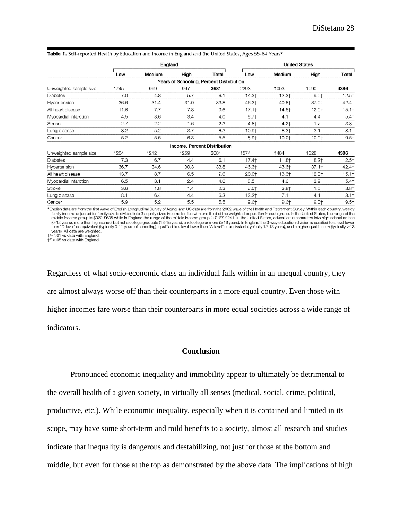|                                                                                                                                                                                   | England |        |                                          |       | <b>United States</b> |         |          |                     |
|-----------------------------------------------------------------------------------------------------------------------------------------------------------------------------------|---------|--------|------------------------------------------|-------|----------------------|---------|----------|---------------------|
|                                                                                                                                                                                   | Low     | Medium | High                                     | Total | Low                  | Medium  | High     | Total               |
|                                                                                                                                                                                   |         |        | Years of Schooling, Percent Distribution |       |                      |         |          |                     |
| Unweighted sample size                                                                                                                                                            | 1745    | 969    | 967                                      | 3681  | 2293                 | 1003    | 1090     | 4386                |
| Diabetes                                                                                                                                                                          | 7.0     | 4.8    | 5.7                                      | 6.1   | 14.3†                | $12.3+$ | $9.5+$   | $12.5+$             |
| Hypertension                                                                                                                                                                      | 36.6    | 31.4   | 31.0                                     | 33.8  | 46.3†                | 40.8†   | 37.0+    | 42.4†               |
| All heart disease                                                                                                                                                                 | 11.6    | 7.7    | 7.8                                      | 9.6   | $17.1+$              | 14.8†   | 12.0+    | 15.1                |
| Myocardial infarction                                                                                                                                                             | 4,5     | 3.6    | 3.4                                      | 4.0   | 6.7 <sub>†</sub>     | 4.1     | 4.4      | $5.4$ <sup>+</sup>  |
| Stroke                                                                                                                                                                            | 2.7     | 2.2    | 1.6                                      | 2.3   | $4.8+$               | $4.2+$  | 1.7      | $3.8 +$             |
| Lung disease                                                                                                                                                                      | 8.2     | 5.2    | 3.7                                      | 6.3   | 10.9+                | $8.3+$  | 3.1      | $8.1 +$             |
| Cancer                                                                                                                                                                            | 5.2     | 5.5    | 6.3                                      | 5.5   | $8.9 +$              | 10.01   | $10.0+$  | $9.5 +$             |
|                                                                                                                                                                                   |         |        | Income, Percent Distribution             |       |                      |         |          |                     |
| Unweighted sample size                                                                                                                                                            | 1204    | 1212   | 1259                                     | 3681  | 1574                 | 1484    | 1328     | 4386                |
| Diabetes                                                                                                                                                                          | 7.3     | 6.7    | 4.4                                      | 6.1   | 17.4†                | 11.8†   | $8.2$ †  | $12.5$ <sup>+</sup> |
| Hypertension                                                                                                                                                                      | 36.7    | 34.6   | 30.3                                     | 33.8  | 46.3†                | 43.6†   | $37.1 +$ | 42.4†               |
| All heart disease                                                                                                                                                                 | 13.7    | 8.7    | 6.5                                      | 9.6   | 20.0†                | $13.3+$ | 12.0+    | 15.1                |
| Myocardial infarction                                                                                                                                                             | 6.5     | 3.1    | 2.4                                      | 4.0   | 8.5                  | 4.6     | 3.2      | $5.4$ <sup>+</sup>  |
| Stroke                                                                                                                                                                            | 3.6     | 1.8    | 1.4                                      | 2.3   | 6.01                 | $3.8+$  | 1.5      | $3.8+$              |
| Lung disease                                                                                                                                                                      | 8.1     | 6.4    | 4.4                                      | 6.3   | 13.2+                | 7.1     | 4.1      | $8.1+$              |
| Cancer                                                                                                                                                                            | 5.9     | 5.2    | 5.5                                      | 5.5   | $9.6+$               | $9.6+$  | $9.3+$   | $9.5 +$             |
| *English data are from the first wave of English Longitudinal Survey of Aging and US data are from the 2002 wave of the Health and Retirement Survey. Within each country, weekly |         |        |                                          |       |                      |         |          |                     |

Table 1. Self-reported Health by Education and Income in England and the United States, Ages 55-64 Years\*

- simily income adjusted for family size is divided into 3 equally sized income tertiles with one third of the weighted population in each group. In the United States, the range of the distribution in the United States, th middle income group is \$322-\$635 while in England the range of the middle income group is £127-£241. In the United States, education is separated into high school or less<br>(0-12 years), more than high school but not a colle years). All data are weighted.<br>†P<.01 vs data with England.

 $\uparrow$   $P < .05$  vs data with England.

Regardless of what socio-economic class an individual falls within in an unequal country, they are almost always worse off than their counterparts in a more equal country. Even those with higher incomes fare worse than their counterparts in more equal societies across a wide range of indicators.

# **Conclusion**

Pronounced economic inequality and immobility appear to ultimately be detrimental to the overall health of a given society, in virtually all senses (medical, social, crime, political, productive, etc.). While economic inequality, especially when it is contained and limited in its scope, may have some short-term and mild benefits to a society, almost all research and studies indicate that inequality is dangerous and destabilizing, not just for those at the bottom and middle, but even for those at the top as demonstrated by the above data. The implications of high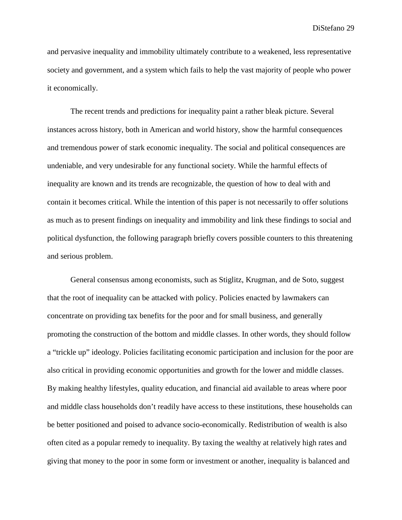and pervasive inequality and immobility ultimately contribute to a weakened, less representative society and government, and a system which fails to help the vast majority of people who power it economically.

The recent trends and predictions for inequality paint a rather bleak picture. Several instances across history, both in American and world history, show the harmful consequences and tremendous power of stark economic inequality. The social and political consequences are undeniable, and very undesirable for any functional society. While the harmful effects of inequality are known and its trends are recognizable, the question of how to deal with and contain it becomes critical. While the intention of this paper is not necessarily to offer solutions as much as to present findings on inequality and immobility and link these findings to social and political dysfunction, the following paragraph briefly covers possible counters to this threatening and serious problem.

General consensus among economists, such as Stiglitz, Krugman, and de Soto, suggest that the root of inequality can be attacked with policy. Policies enacted by lawmakers can concentrate on providing tax benefits for the poor and for small business, and generally promoting the construction of the bottom and middle classes. In other words, they should follow a "trickle up" ideology. Policies facilitating economic participation and inclusion for the poor are also critical in providing economic opportunities and growth for the lower and middle classes. By making healthy lifestyles, quality education, and financial aid available to areas where poor and middle class households don't readily have access to these institutions, these households can be better positioned and poised to advance socio-economically. Redistribution of wealth is also often cited as a popular remedy to inequality. By taxing the wealthy at relatively high rates and giving that money to the poor in some form or investment or another, inequality is balanced and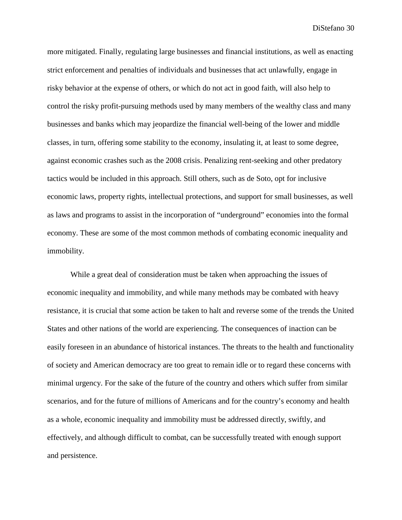more mitigated. Finally, regulating large businesses and financial institutions, as well as enacting strict enforcement and penalties of individuals and businesses that act unlawfully, engage in risky behavior at the expense of others, or which do not act in good faith, will also help to control the risky profit-pursuing methods used by many members of the wealthy class and many businesses and banks which may jeopardize the financial well-being of the lower and middle classes, in turn, offering some stability to the economy, insulating it, at least to some degree, against economic crashes such as the 2008 crisis. Penalizing rent-seeking and other predatory tactics would be included in this approach. Still others, such as de Soto, opt for inclusive economic laws, property rights, intellectual protections, and support for small businesses, as well as laws and programs to assist in the incorporation of "underground" economies into the formal economy. These are some of the most common methods of combating economic inequality and immobility.

While a great deal of consideration must be taken when approaching the issues of economic inequality and immobility, and while many methods may be combated with heavy resistance, it is crucial that some action be taken to halt and reverse some of the trends the United States and other nations of the world are experiencing. The consequences of inaction can be easily foreseen in an abundance of historical instances. The threats to the health and functionality of society and American democracy are too great to remain idle or to regard these concerns with minimal urgency. For the sake of the future of the country and others which suffer from similar scenarios, and for the future of millions of Americans and for the country's economy and health as a whole, economic inequality and immobility must be addressed directly, swiftly, and effectively, and although difficult to combat, can be successfully treated with enough support and persistence.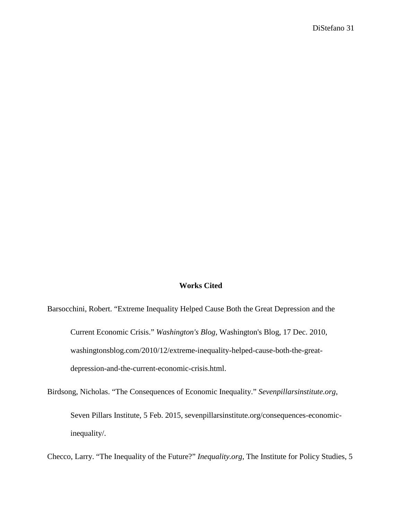## **Works Cited**

Barsocchini, Robert. "Extreme Inequality Helped Cause Both the Great Depression and the Current Economic Crisis." *Washington's Blog*, Washington's Blog, 17 Dec. 2010, washingtonsblog.com/2010/12/extreme-inequality-helped-cause-both-the-greatdepression-and-the-current-economic-crisis.html.

Birdsong, Nicholas. "The Consequences of Economic Inequality." *Sevenpillarsinstitute.org*, Seven Pillars Institute, 5 Feb. 2015, sevenpillarsinstitute.org/consequences-economicinequality/.

Checco, Larry. "The Inequality of the Future?" *Inequality.org*, The Institute for Policy Studies, 5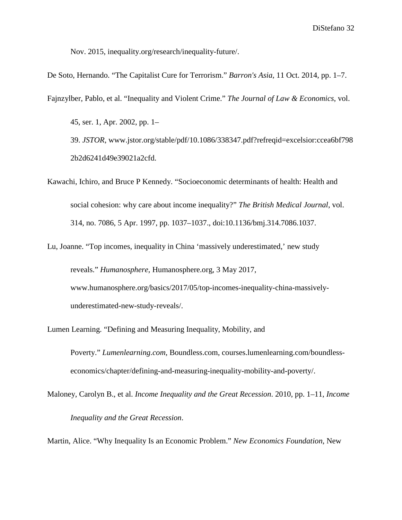Nov. 2015, inequality.org/research/inequality-future/.

De Soto, Hernando. "The Capitalist Cure for Terrorism." *Barron's Asia*, 11 Oct. 2014, pp. 1–7.

Fajnzylber, Pablo, et al. "Inequality and Violent Crime." *The Journal of Law & Economics*, vol.

45, ser. 1, Apr. 2002, pp. 1– 39. *JSTOR*, [www.jstor.org/stable/pdf/10.1086/338347.pdf?refreqid=excelsior:ccea6bf798](http://www.jstor.org/stable/pdf/10.1086/338347.pdf?refreqid=excelsior:ccea6bf7982b2d6241d49e39021a2cfd) [2b2d6241d49e39021a2cfd.](http://www.jstor.org/stable/pdf/10.1086/338347.pdf?refreqid=excelsior:ccea6bf7982b2d6241d49e39021a2cfd)

- Kawachi, Ichiro, and Bruce P Kennedy. "Socioeconomic determinants of health: Health and social cohesion: why care about income inequality?" *The British Medical Journal*, vol. 314, no. 7086, 5 Apr. 1997, pp. 1037–1037., doi:10.1136/bmj.314.7086.1037.
- Lu, Joanne. "Top incomes, inequality in China 'massively underestimated,' new study reveals." *Humanosphere*, Humanosphere.org, 3 May 2017, www.humanosphere.org/basics/2017/05/top-incomes-inequality-china-massivelyunderestimated-new-study-reveals/.
- Lumen Learning. "Defining and Measuring Inequality, Mobility, and Poverty." *Lumenlearning.com*, Boundless.com, courses.lumenlearning.com/boundlesseconomics/chapter/defining-and-measuring-inequality-mobility-and-poverty/.
- Maloney, Carolyn B., et al. *Income Inequality and the Great Recession*. 2010, pp. 1–11, *Income Inequality and the Great Recession*.

Martin, Alice. "Why Inequality Is an Economic Problem." *New Economics Foundation*, New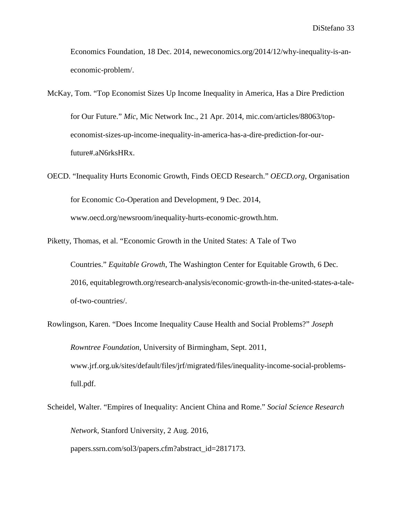Economics Foundation, 18 Dec. 2014, neweconomics.org/2014/12/why-inequality-is-aneconomic-problem/.

McKay, Tom. "Top Economist Sizes Up Income Inequality in America, Has a Dire Prediction for Our Future." *Mic*, Mic Network Inc., 21 Apr. 2014, mic.com/articles/88063/topeconomist-sizes-up-income-inequality-in-america-has-a-dire-prediction-for-ourfuture#.aN6rksHRx.

OECD. "Inequality Hurts Economic Growth, Finds OECD Research." *OECD.org*, Organisation for Economic Co-Operation and Development, 9 Dec. 2014, www.oecd.org/newsroom/inequality-hurts-economic-growth.htm.

Piketty, Thomas, et al. "Economic Growth in the United States: A Tale of Two

Countries." *Equitable Growth*, The Washington Center for Equitable Growth, 6 Dec. 2016, equitablegrowth.org/research-analysis/economic-growth-in-the-united-states-a-taleof-two-countries/.

Rowlingson, Karen. "Does Income Inequality Cause Health and Social Problems?" *Joseph Rowntree Foundation*, University of Birmingham, Sept. 2011, www.jrf.org.uk/sites/default/files/jrf/migrated/files/inequality-income-social-problemsfull.pdf.

Scheidel, Walter. "Empires of Inequality: Ancient China and Rome." *Social Science Research Network*, Stanford University, 2 Aug. 2016, papers.ssrn.com/sol3/papers.cfm?abstract\_id=2817173.